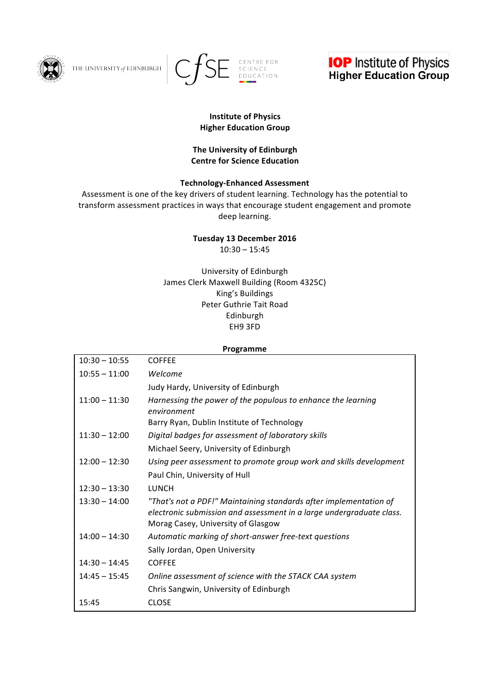

THE UNIVERSITY of EDINBURGH





#### **Institute of Physics Higher Education Group**

## **The University of Edinburgh Centre for Science Education**

## **Technology-Enhanced Assessment**

Assessment is one of the key drivers of student learning. Technology has the potential to transform assessment practices in ways that encourage student engagement and promote deep learning.

#### **Tuesday 13 December 2016**  $10:30 - 15:45$

University of Edinburgh James Clerk Maxwell Building (Room 4325C) King's Buildings Peter Guthrie Tait Road Edinburgh

# EH9 3FD

# **Programme**  $10:30 - 10:55$  COFFEE 10:55 – 11:00 *Welcome* Judy Hardy, University of Edinburgh 11:00 - 11:30 Harnessing the power of the populous to enhance the learning *environment* Barry Ryan, Dublin Institute of Technology 11:30 – 12:00 *Digital badges for assessment of laboratory skills* Michael Seery, University of Edinburgh 12:00 – 12:30 Using peer assessment to promote group work and skills development Paul Chin, University of Hull 12:30 – 13:30 LUNCH 13:30 – 14:00 *"That's not a PDF!" Maintaining standards after implementation of electronic submission and assessment in a large undergraduate class.* Morag Casey, University of Glasgow 14:00 – 14:30 *Automatic marking of short-answer free-text questions* Sally Jordan, Open University 14:30 – 14:45 COFFEE 14:45 – 15:45 Online assessment of science with the STACK CAA system Chris Sangwin, University of Edinburgh 15:45 CLOSE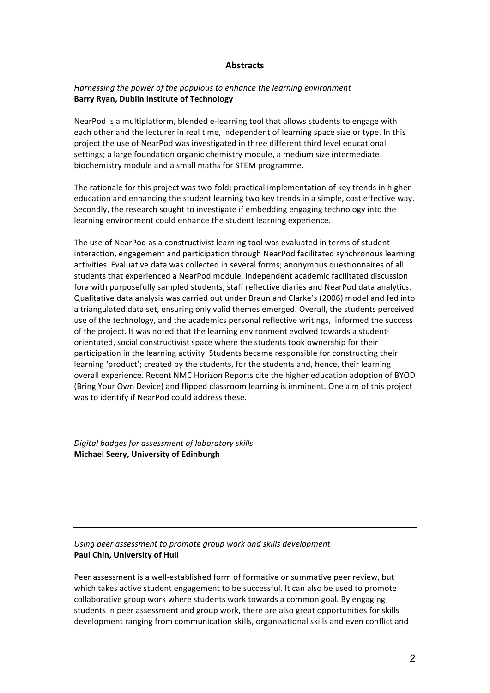#### **Abstracts**

#### *Harnessing the power of the populous to enhance the learning environment* **Barry Ryan, Dublin Institute of Technology**

NearPod is a multiplatform, blended e-learning tool that allows students to engage with each other and the lecturer in real time, independent of learning space size or type. In this project the use of NearPod was investigated in three different third level educational settings; a large foundation organic chemistry module, a medium size intermediate biochemistry module and a small maths for STEM programme.

The rationale for this project was two-fold; practical implementation of key trends in higher education and enhancing the student learning two key trends in a simple, cost effective way. Secondly, the research sought to investigate if embedding engaging technology into the learning environment could enhance the student learning experience.

The use of NearPod as a constructivist learning tool was evaluated in terms of student interaction, engagement and participation through NearPod facilitated synchronous learning activities. Evaluative data was collected in several forms; anonymous questionnaires of all students that experienced a NearPod module, independent academic facilitated discussion fora with purposefully sampled students, staff reflective diaries and NearPod data analytics. Qualitative data analysis was carried out under Braun and Clarke's (2006) model and fed into a triangulated data set, ensuring only valid themes emerged. Overall, the students perceived use of the technology, and the academics personal reflective writings, informed the success of the project. It was noted that the learning environment evolved towards a studentorientated, social constructivist space where the students took ownership for their participation in the learning activity. Students became responsible for constructing their learning 'product'; created by the students, for the students and, hence, their learning overall experience. Recent NMC Horizon Reports cite the higher education adoption of BYOD (Bring Your Own Device) and flipped classroom learning is imminent. One aim of this project was to identify if NearPod could address these.

*Digital badges for assessment of laboratory skills* **Michael Seery, University of Edinburgh**

#### Using peer assessment to promote group work and skills development **Paul Chin, University of Hull**

Peer assessment is a well-established form of formative or summative peer review, but which takes active student engagement to be successful. It can also be used to promote collaborative group work where students work towards a common goal. By engaging students in peer assessment and group work, there are also great opportunities for skills development ranging from communication skills, organisational skills and even conflict and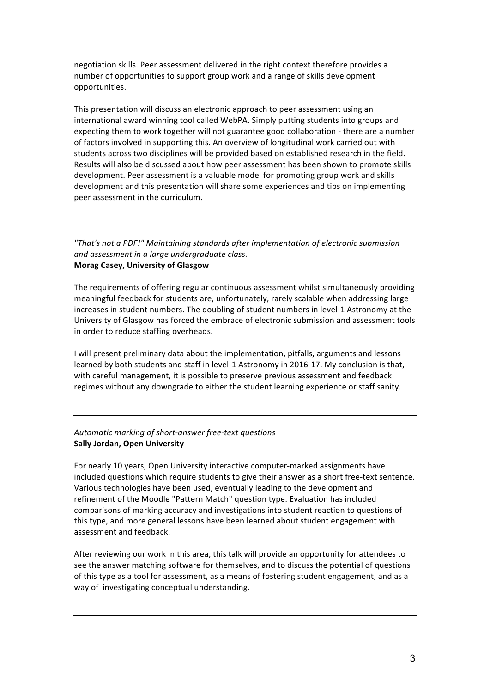negotiation skills. Peer assessment delivered in the right context therefore provides a number of opportunities to support group work and a range of skills development opportunities.

This presentation will discuss an electronic approach to peer assessment using an international award winning tool called WebPA. Simply putting students into groups and expecting them to work together will not guarantee good collaboration - there are a number of factors involved in supporting this. An overview of longitudinal work carried out with students across two disciplines will be provided based on established research in the field. Results will also be discussed about how peer assessment has been shown to promote skills development. Peer assessment is a valuable model for promoting group work and skills development and this presentation will share some experiences and tips on implementing peer assessment in the curriculum.

# *"That's not a PDF!" Maintaining standards after implementation of electronic submission and assessment in a large undergraduate class.* **Morag Casey, University of Glasgow**

The requirements of offering regular continuous assessment whilst simultaneously providing meaningful feedback for students are, unfortunately, rarely scalable when addressing large increases in student numbers. The doubling of student numbers in level-1 Astronomy at the University of Glasgow has forced the embrace of electronic submission and assessment tools in order to reduce staffing overheads.

I will present preliminary data about the implementation, pitfalls, arguments and lessons learned by both students and staff in level-1 Astronomy in 2016-17. My conclusion is that, with careful management, it is possible to preserve previous assessment and feedback regimes without any downgrade to either the student learning experience or staff sanity.

## *Automatic marking of short-answer free-text questions* **Sally Jordan, Open University**

For nearly 10 years, Open University interactive computer-marked assignments have included questions which require students to give their answer as a short free-text sentence. Various technologies have been used, eventually leading to the development and refinement of the Moodle "Pattern Match" question type. Evaluation has included comparisons of marking accuracy and investigations into student reaction to questions of this type, and more general lessons have been learned about student engagement with assessment and feedback.

After reviewing our work in this area, this talk will provide an opportunity for attendees to see the answer matching software for themselves, and to discuss the potential of questions of this type as a tool for assessment, as a means of fostering student engagement, and as a way of investigating conceptual understanding.